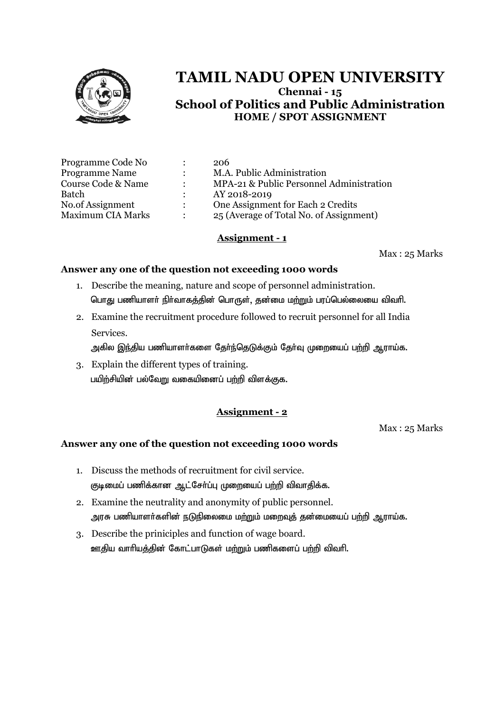

| Programme Code No        |               | 206                                      |
|--------------------------|---------------|------------------------------------------|
| <b>Programme Name</b>    |               | M.A. Public Administration               |
| Course Code & Name       | $\mathcal{L}$ | MPA-21 & Public Personnel Administration |
| Batch                    |               | AY 2018-2019                             |
| No.of Assignment         | $\mathcal{L}$ | One Assignment for Each 2 Credits        |
| <b>Maximum CIA Marks</b> |               | 25 (Average of Total No. of Assignment)  |

## **Assignment - 1**

Max : 25 Marks

## **Answer any one of the question not exceeding 1000 words**

- 1. Describe the meaning, nature and scope of personnel administration. பொது பணியாளர் நிர்வாகத்தின் பொருள், தன்மை மற்றும் பரப்பெல்லையை விவரி.
- 2. Examine the recruitment procedure followed to recruit personnel for all India Services.

அகில இந்திய பணியாளர்களை தேர்ந்தெடுக்கும் தேர்வு முறையைப் பற்றி ஆராய்க.

3. Explain the different types of training. பயிற்சியின் பல்வேறு வகையினைப் பற்றி விளக்குக.

# **Assignment - 2**

Max : 25 Marks

- 1. Discuss the methods of recruitment for civil service. குடிமைப் பணிக்கான ஆட்சோ்ப்பு முறையைப் பற்றி விவாதிக்க.
- 2. Examine the neutrality and anonymity of public personnel. அரசு பணியாளர்களின் நடுநிலைமை மற்றும் மறைவுத் தன்மையைப் பற்றி ஆராய்க.
- 3. Describe the priniciples and function of wage board. ஊதிய வாரியத்தின் கோட்பாடுகள் மற்றும் பணிகளைப் பற்றி விவரி.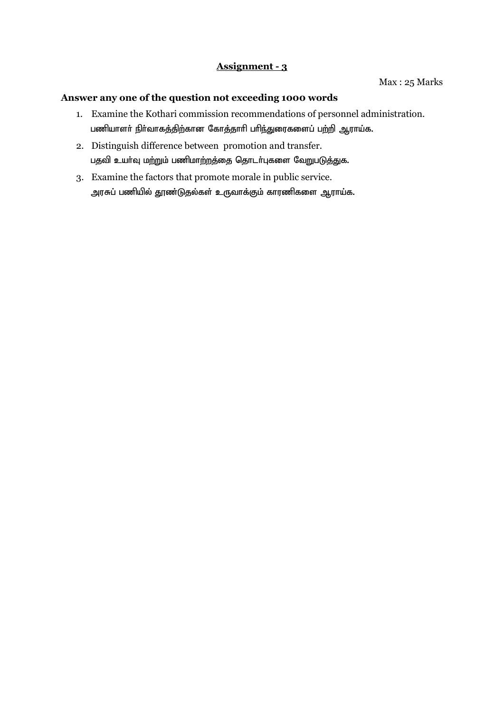Max : 25 Marks

- 1. Examine the Kothari commission recommendations of personnel administration. பணியாளர் நிர்வாகத்திற்கான கோத்தாரி பரிந்துரைகளைப் பற்றி ஆராய்க.
- 2. Distinguish difference between promotion and transfer. பதவி உயர்வு மற்றும் பணிமாற்றத்தை தொடர்புகளை வேறுபடுத்துக.
- 3. Examine the factors that promote morale in public service. அரசுப் பணியில் தூண்டுதல்கள் உருவாக்கும் காரணிகளை ஆராய்க.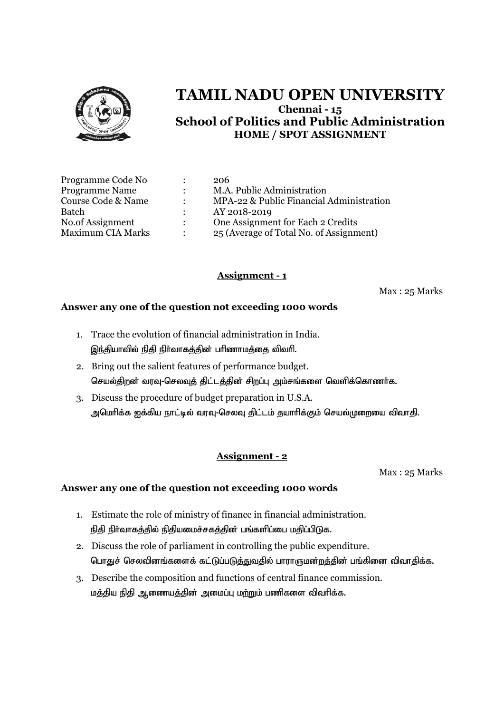

| Programme Code No        | $\ddot{\phantom{a}}$ | 206                                      |
|--------------------------|----------------------|------------------------------------------|
| <b>Programme Name</b>    | $\ddot{\phantom{a}}$ | M.A. Public Administration               |
| Course Code & Name       | $\bullet$            | MPA-22 & Public Financial Administration |
| Batch                    |                      | AY 2018-2019                             |
| No.of Assignment         | $\ddot{\phantom{0}}$ | One Assignment for Each 2 Credits        |
| <b>Maximum CIA Marks</b> | $\bullet$            | 25 (Average of Total No. of Assignment)  |

# **Assignment - 1**

Max : 25 Marks

## **Answer any one of the question not exceeding 1000 words**

- 1. Trace the evolution of financial administration in India. இந்தியாவில் நிதி நிர்வாகத்தின் பரிணாமத்தை விவரி.
- 2. Bring out the salient features of performance budget. செயல்திறன் வரவு-செலவுத் திட்டத்தின் சிறப்பு அம்சங்களை வெளிக்கொணர்க.
- 3. Discuss the procedure of budget preparation in U.S.A. அமெரிக்க ஐக்கிய நாட்டில் வரவு-செலவு திட்டம் தயாரிக்கும் செயல்முறையை விவாதி.

# **Assignment - 2**

Max : 25 Marks

- 1. Estimate the role of ministry of finance in financial administration. நிதி நிர்வாகத்தில் நிதியமைச்சகத்தின் பங்களிப்பை மதிப்பிடுக.
- 2. Discuss the role of parliament in controlling the public expenditure. பொதுச் செலவினங்களைக் கட்டுப்படுத்துவதில் பாராளுமன்றத்தின் பங்கினை விவாதிக்க.
- 3. Describe the composition and functions of central finance commission. மத்திய நிதி ஆணையத்தின் அமைப்பு மற்றும் பணிகளை விவரிக்க.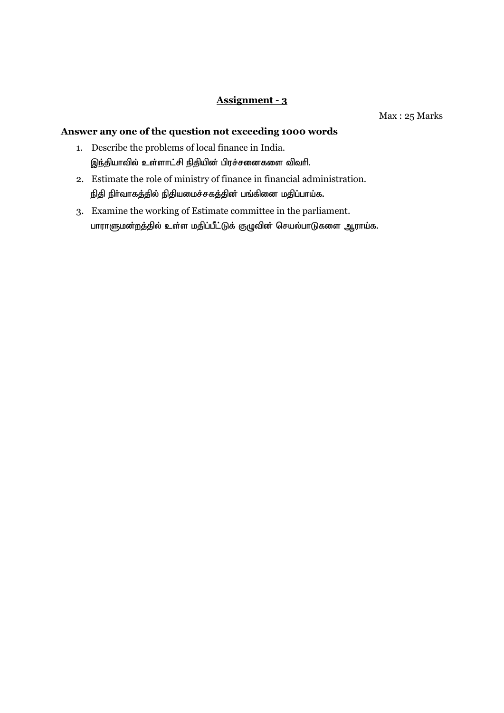Max : 25 Marks

- 1. Describe the problems of local finance in India. இந்தியாவில் உள்ளாட்சி நிதியின் பிரச்சனைகளை விவரி.
- 2. Estimate the role of ministry of finance in financial administration. நிதி நிர்வாகத்தில் நிதியமைச்சகத்தின் பங்கினை மதிப்பாய்க.
- 3. Examine the working of Estimate committee in the parliament. பாராளுமன்றத்தில் உள்ள மதிப்பீட்டுக் குழுவின் செயல்பாடுகளை ஆராய்க.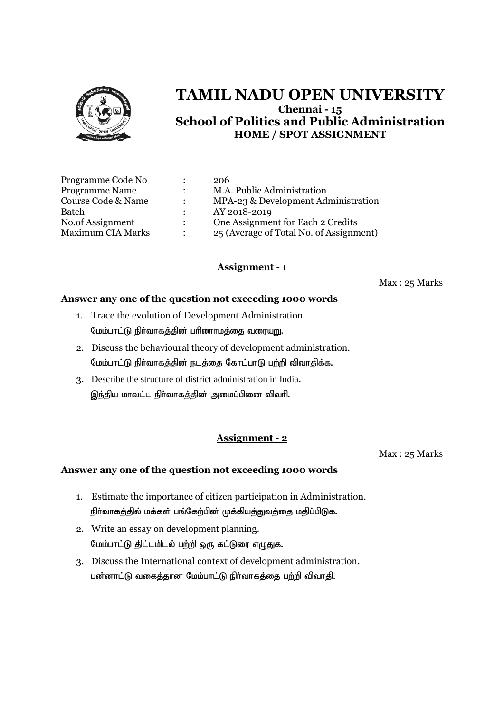

| Programme Code No        |                           | 206                                     |
|--------------------------|---------------------------|-----------------------------------------|
| <b>Programme Name</b>    | $\ddot{\phantom{a}}$      | M.A. Public Administration              |
| Course Code & Name       |                           | MPA-23 & Development Administration     |
| Batch                    |                           | AY 2018-2019                            |
| No.of Assignment         | $\mathbb{R}^{\mathbb{Z}}$ | One Assignment for Each 2 Credits       |
| <b>Maximum CIA Marks</b> |                           | 25 (Average of Total No. of Assignment) |

# **Assignment - 1**

Max : 25 Marks

## **Answer any one of the question not exceeding 1000 words**

- 1. Trace the evolution of Development Administration. மேம்பாட்டு நிர்வாகத்தின் பரிணாமத்தை வரையறு.
- 2. Discuss the behavioural theory of development administration. மேம்பாட்டு நிர்வாகத்தின் நடத்தை கோட்பாடு பற்றி விவாதிக்க.
- 3. Describe the structure of district administration in India. இந்திய மாவட்ட நிர்வாகத்தின் அமைப்பினை விவரி.

# **Assignment - 2**

Max : 25 Marks

- 1. Estimate the importance of citizen participation in Administration. நிர்வாகத்தில் மக்கள் பங்கேற்பின் முக்கியத்துவத்தை மதிப்பிடுக.
- 2. Write an essay on development planning. மேம்பாட்டு திட்டமிடல் பற்றி ஒரு கட்டுரை எழுதுக.
- 3. Discuss the International context of development administration. பன்னாட்டு வகைத்தான மேம்பாட்டு நிர்வாகத்தை பற்றி விவாதி.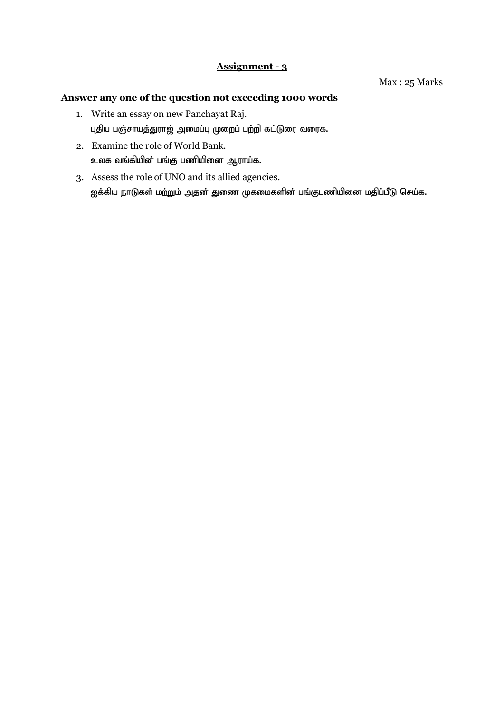- 1. Write an essay on new Panchayat Raj. புதிய பஞ்சாயத்துராஜ் அமைப்பு முறைப் பற்றி கட்டுரை வரைக.
- 2. Examine the role of World Bank. உலக வங்கியின் பங்கு பணியினை ஆராய்க.
- 3. Assess the role of UNO and its allied agencies. ஐக்கிய நாடுகள் ம<u>ற்ற</u>ும் அதன் துணை முகமைகளின் பங்குபணியினை மதிப்பீடு செய்க.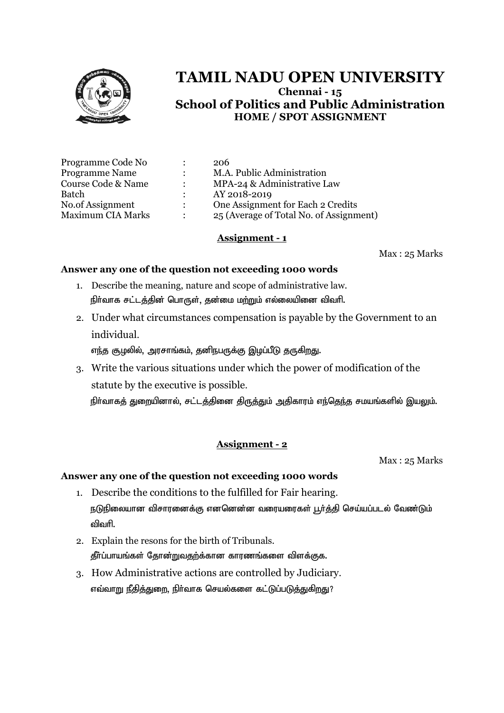

| Programme Code No        |               | 206                                     |
|--------------------------|---------------|-----------------------------------------|
| Programme Name           |               | M.A. Public Administration              |
| Course Code & Name       | $\mathcal{L}$ | MPA-24 & Administrative Law             |
| Batch                    | $\mathcal{L}$ | AY 2018-2019                            |
| No.of Assignment         | $\mathcal{L}$ | One Assignment for Each 2 Credits       |
| <b>Maximum CIA Marks</b> |               | 25 (Average of Total No. of Assignment) |

## **Assignment - 1**

Max : 25 Marks

## **Answer any one of the question not exceeding 1000 words**

- 1. Describe the meaning, nature and scope of administrative law. நிர்வாக சட்டத்தின் பொருள், தன்மை மற்றும் எல்லையினை விவரி.
- 2. Under what circumstances compensation is payable by the Government to an individual.

எந்த சூழலில், அரசாங்கம், தனிநபருக்கு இழப்பீடு தருகிறது.

3. Write the various situations under which the power of modification of the statute by the executive is possible.

நிர்வாகத் துறையினால், சட்டத்தினை திருத்தும் அதிகாரம் எந்தெந்த சமயங்களில் இயலும்.

## **Assignment - 2**

Max : 25 Marks

- 1. Describe the conditions to the fulfilled for Fair hearing. நடுநிலையான விசாரனைக்கு எனனென்ன வரையரைகள் பூர்த்தி செய்யப்படல் வேண்டும் விவரி.
- 2. Explain the resons for the birth of Tribunals. தீர்ப்பாயங்கள் தோன்றுவதற்க்கான காரணங்களை விளக்குக.
- 3. How Administrative actions are controlled by Judiciary. எவ்வாறு நீதித்துறை, நிர்வாக செயல்களை கட்டுப்படுத்துகிறது?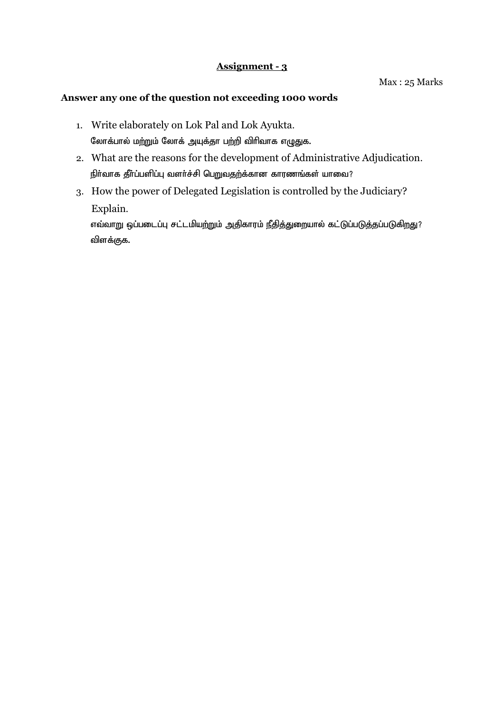## **Answer any one of the question not exceeding 1000 words**

- 1. Write elaborately on Lok Pal and Lok Ayukta. லோக்பால் மற்றும் லோக் அயுக்தா பற்றி விரிவாக எழுதுக.
- 2. What are the reasons for the development of Administrative Adjudication. நிர்வாக தீர்ப்பளிப்பு வளர்ச்சி பெறுவதற்க்கான காரணங்கள் யாவை?
- 3. How the power of Delegated Legislation is controlled by the Judiciary? Explain.

எவ்வாறு ஒப்படைப்பு சட்டமியற்றும் அதிகாரம் நீதித்துறையால் கட்டுப்படுத்தப்படுகிறது? விளக்குக.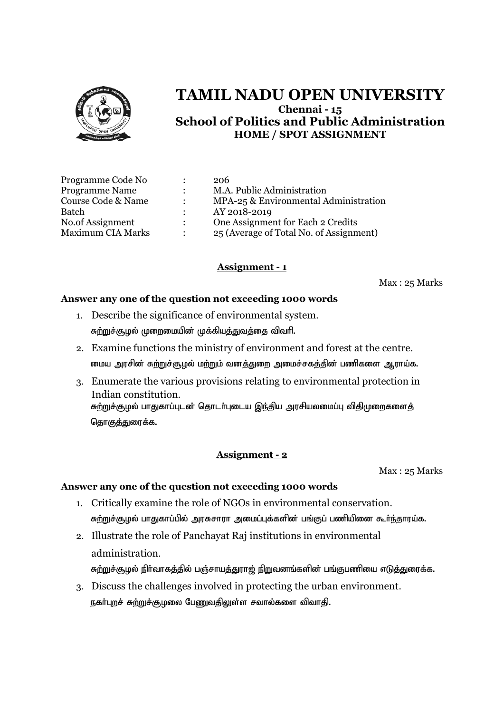

| Programme Code No        | $\ddot{\cdot}$       | 206                                     |
|--------------------------|----------------------|-----------------------------------------|
| <b>Programme Name</b>    | $\ddot{\phantom{a}}$ | M.A. Public Administration              |
| Course Code & Name       | $\ddot{\phantom{a}}$ | MPA-25 & Environmental Administration   |
| Batch                    |                      | AY 2018-2019                            |
| No.of Assignment         | $\ddot{\phantom{a}}$ | One Assignment for Each 2 Credits       |
| <b>Maximum CIA Marks</b> | $\bullet$            | 25 (Average of Total No. of Assignment) |

# **Assignment - 1**

Max : 25 Marks

## **Answer any one of the question not exceeding 1000 words**

- 1. Describe the significance of environmental system. சுற்றுச்சூழல் முறைமையின் முக்கியத்துவத்தை விவரி.
- 2. Examine functions the ministry of environment and forest at the centre. மைய அரசின் சுற்றுச்சூழல் மற்றும் வனத்துறை அமைச்சகத்தின் பணிகளை ஆராய்க.
- 3. Enumerate the various provisions relating to environmental protection in Indian constitution. சுற்றுச்சூழல் பாதுகாப்புடன் தொடர்புடைய இந்திய அரசியலமைப்பு விதிமுறைகளைத் தொ<u>குத்து</u>ரைக்க.

## **Assignment - 2**

Max : 25 Marks

- 1. Critically examine the role of NGOs in environmental conservation. சுற்றுச்சூழல் பாதுகாப்பில் அரசுசாரா அமைப்புக்களின் பங்குப் பணியினை கூர்ந்தாரய்க.
- 2. Illustrate the role of Panchayat Raj institutions in environmental administration. சுற்றுச்சூழல் நிர்வாகத்தில் பஞ்சாயத்துராஜ் நிறுவனங்களின் பங்குபணியை எடுத்துரைக்க.
- 3. Discuss the challenges involved in protecting the urban environment. நகர்புறச் சுற்றுச்சூழலை பேணுவதிலுள்ள சவால்களை விவாதி.